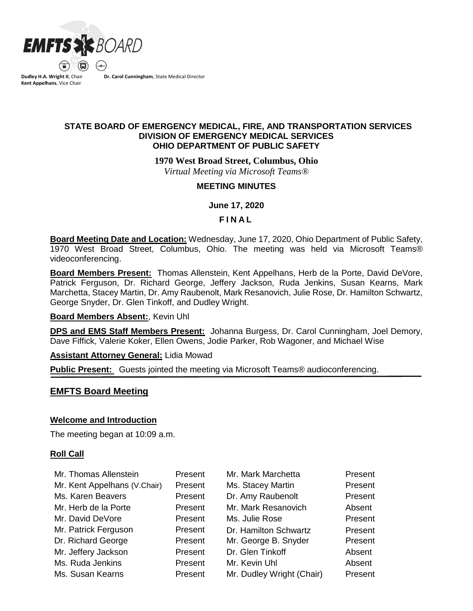

**Dudley H.A. Wright II**, Chair **Kent Appelhans**, Vice Chair

**Dr. Carol Cunningham**, State Medical Director

# **STATE BOARD OF EMERGENCY MEDICAL, FIRE, AND TRANSPORTATION SERVICES DIVISION OF EMERGENCY MEDICAL SERVICES OHIO DEPARTMENT OF PUBLIC SAFETY**

**1970 West Broad Street, Columbus, Ohio**

*Virtual Meeting via Microsoft Teams®*

### **MEETING MINUTES**

**June 17, 2020**

### **F I N A L**

**Board Meeting Date and Location:** Wednesday, June 17, 2020, Ohio Department of Public Safety, 1970 West Broad Street, Columbus, Ohio. The meeting was held via Microsoft Teams® videoconferencing.

**Board Members Present:** Thomas Allenstein, Kent Appelhans, Herb de la Porte, David DeVore, Patrick Ferguson, Dr. Richard George, Jeffery Jackson, Ruda Jenkins, Susan Kearns, Mark Marchetta, Stacey Martin, Dr. Amy Raubenolt, Mark Resanovich, Julie Rose, Dr. Hamilton Schwartz, George Snyder, Dr. Glen Tinkoff, and Dudley Wright.

### **Board Members Absent:**, Kevin Uhl

**DPS and EMS Staff Members Present:** Johanna Burgess, Dr. Carol Cunningham, Joel Demory, Dave Fiffick, Valerie Koker, Ellen Owens, Jodie Parker, Rob Wagoner, and Michael Wise

**Assistant Attorney General:** Lidia Mowad

**Public Present:** Guests jointed the meeting via Microsoft Teams® audioconferencing.

# **EMFTS Board Meeting**

### **Welcome and Introduction**

The meeting began at 10:09 a.m.

### **Roll Call**

| Mr. Thomas Allenstein        | Present | Mr. Mark Marchetta        | Present |
|------------------------------|---------|---------------------------|---------|
| Mr. Kent Appelhans (V.Chair) | Present | Ms. Stacey Martin         | Present |
| Ms. Karen Beavers            | Present | Dr. Amy Raubenolt         | Present |
| Mr. Herb de la Porte         | Present | Mr. Mark Resanovich       | Absent  |
| Mr. David DeVore             | Present | Ms. Julie Rose            | Present |
| Mr. Patrick Ferguson         | Present | Dr. Hamilton Schwartz     | Present |
| Dr. Richard George           | Present | Mr. George B. Snyder      | Present |
| Mr. Jeffery Jackson          | Present | Dr. Glen Tinkoff          | Absent  |
| Ms. Ruda Jenkins             | Present | Mr. Kevin Uhl             | Absent  |
| Ms. Susan Kearns             | Present | Mr. Dudley Wright (Chair) | Present |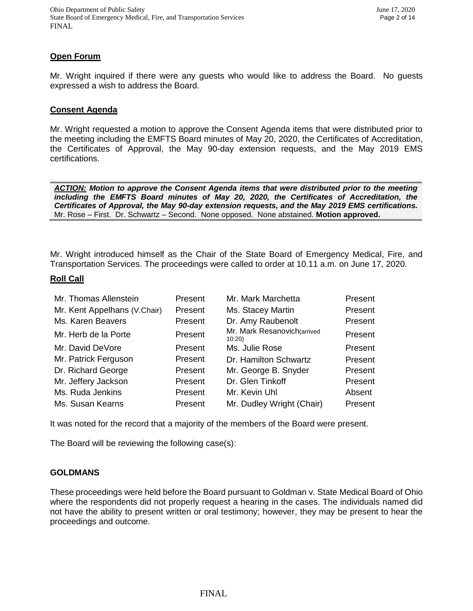# **Open Forum**

Mr. Wright inquired if there were any guests who would like to address the Board. No guests expressed a wish to address the Board.

#### **Consent Agenda**

Mr. Wright requested a motion to approve the Consent Agenda items that were distributed prior to the meeting including the EMFTS Board minutes of May 20, 2020, the Certificates of Accreditation, the Certificates of Approval, the May 90-day extension requests, and the May 2019 EMS certifications.

*ACTION: Motion to approve the Consent Agenda items that were distributed prior to the meeting including the EMFTS Board minutes of May 20, 2020, the Certificates of Accreditation, the Certificates of Approval, the May 90-day extension requests, and the May 2019 EMS certifications.*  Mr. Rose – First. Dr. Schwartz – Second. None opposed. None abstained. **Motion approved.**

Mr. Wright introduced himself as the Chair of the State Board of Emergency Medical, Fire, and Transportation Services. The proceedings were called to order at 10.11 a.m. on June 17, 2020.

#### **Roll Call**

| Mr. Thomas Allenstein        | Present | Mr. Mark Marchetta                   | Present |
|------------------------------|---------|--------------------------------------|---------|
| Mr. Kent Appelhans (V.Chair) | Present | Ms. Stacey Martin                    | Present |
| Ms. Karen Beavers            | Present | Dr. Amy Raubenolt                    | Present |
| Mr. Herb de la Porte         | Present | Mr. Mark Resanovich(arrived<br>10:20 | Present |
| Mr. David DeVore             | Present | Ms. Julie Rose                       | Present |
| Mr. Patrick Ferguson         | Present | Dr. Hamilton Schwartz                | Present |
| Dr. Richard George           | Present | Mr. George B. Snyder                 | Present |
| Mr. Jeffery Jackson          | Present | Dr. Glen Tinkoff                     | Present |
| Ms. Ruda Jenkins             | Present | Mr. Kevin Uhl                        | Absent  |
| Ms. Susan Kearns             | Present | Mr. Dudley Wright (Chair)            | Present |

It was noted for the record that a majority of the members of the Board were present.

The Board will be reviewing the following case(s):

### **GOLDMANS**

These proceedings were held before the Board pursuant to Goldman v. State Medical Board of Ohio where the respondents did not properly request a hearing in the cases. The individuals named did not have the ability to present written or oral testimony; however, they may be present to hear the proceedings and outcome.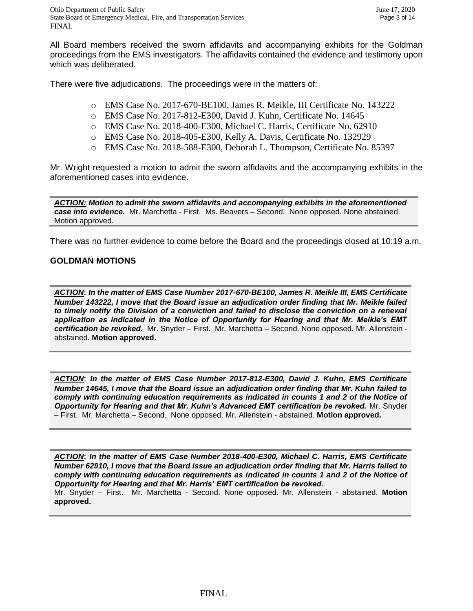All Board members received the sworn affidavits and accompanying exhibits for the Goldman proceedings from the EMS investigators. The affidavits contained the evidence and testimony upon which was deliberated.

There were five adjudications. The proceedings were in the matters of:

- o EMS Case No. 2017-670-BE100, James R. Meikle, III Certificate No. 143222
- o EMS Case No. 2017-812-E300, David J. Kuhn, Certificate No. 14645
- o EMS Case No. 2018-400-E300, Michael C. Harris, Certificate No. 62910
- o EMS Case No. 2018-405-E300, Kelly A. Davis, Certificate No. 132929
- o EMS Case No. 2018-588-E300, Deborah L. Thompson, Certificate No. 85397

Mr. Wright requested a motion to admit the sworn affidavits and the accompanying exhibits in the aforementioned cases into evidence.

*ACTION: Motion to admit the sworn affidavits and accompanying exhibits in the aforementioned case into evidence.* Mr. Marchetta - First. Ms. Beavers – Second. None opposed. None abstained. Motion approved.

There was no further evidence to come before the Board and the proceedings closed at 10:19 a.m.

### **GOLDMAN MOTIONS**

*ACTION*: *In the matter of EMS Case Number 2017-670-BE100, James R. Meikle III, EMS Certificate Number 143222, I move that the Board issue an adjudication order finding that Mr. Meikle failed to timely notify the Division of a conviction and failed to disclose the conviction on a renewal application as indicated in the Notice of Opportunity for Hearing and that Mr. Meikle's EMT certification be revoked.* Mr. Snyder – First. Mr. Marchetta – Second. None opposed. Mr. Allenstein abstained. **Motion approved.**

*ACTION*: *In the matter of EMS Case Number 2017-812-E300, David J. Kuhn, EMS Certificate Number 14645, I move that the Board issue an adjudication order finding that Mr. Kuhn failed to comply with continuing education requirements as indicated in counts 1 and 2 of the Notice of Opportunity for Hearing and that Mr. Kuhn's Advanced EMT certification be revoked.* Mr. Snyder – First. Mr. Marchetta – Second. None opposed. Mr. Allenstein - abstained. **Motion approved.**

*ACTION*: *In the matter of EMS Case Number 2018-400-E300, Michael C. Harris, EMS Certificate Number 62910, I move that the Board issue an adjudication order finding that Mr. Harris failed to comply with continuing education requirements as indicated in counts 1 and 2 of the Notice of Opportunity for Hearing and that Mr. Harris' EMT certification be revoked.* 

Mr. Snyder – First. Mr. Marchetta - Second. None opposed. Mr. Allenstein - abstained. **Motion approved.**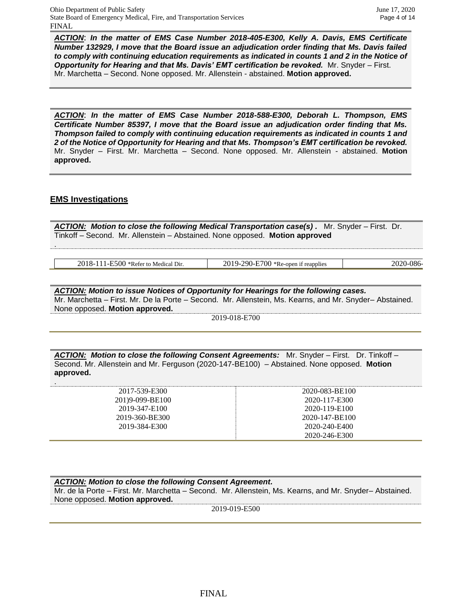*ACTION*: *In the matter of EMS Case Number 2018-405-E300, Kelly A. Davis, EMS Certificate Number 132929, I move that the Board issue an adjudication order finding that Ms. Davis failed to comply with continuing education requirements as indicated in counts 1 and 2 in the Notice of Opportunity for Hearing and that Ms. Davis' EMT certification be revoked.* Mr. Snyder – First. Mr. Marchetta – Second. None opposed. Mr. Allenstein - abstained. **Motion approved.**

*ACTION*: *In the matter of EMS Case Number 2018-588-E300, Deborah L. Thompson, EMS Certificate Number 85397, I move that the Board issue an adjudication order finding that Ms. Thompson failed to comply with continuing education requirements as indicated in counts 1 and 2 of the Notice of Opportunity for Hearing and that Ms. Thompson's EMT certification be revoked.* Mr. Snyder – First. Mr. Marchetta – Second. None opposed. Mr. Allenstein - abstained. **Motion approved.**

### **EMS Investigations**

.

.

*ACTION: Motion to close the following Medical Transportation case(s) .* Mr. Snyder – First. Dr. Tinkoff – Second. Mr. Allenstein – Abstained. None opposed. **Motion approved**

2018-111-E500 \*Refer to Medical Dir. 2019-290-E700 \*Re-open if reapplies 2020-086-

*ACTION: Motion to issue Notices of Opportunity for Hearings for the following cases.*  Mr. Marchetta – First. Mr. De la Porte – Second. Mr. Allenstein, Ms. Kearns, and Mr. Snyder– Abstained. None opposed. **Motion approved.**

2019-018-E700

*ACTION: Motion to close the following Consent Agreements:* Mr. Snyder – First. Dr. Tinkoff – Second. Mr. Allenstein and Mr. Ferguson (2020-147-BE100) – Abstained. None opposed. **Motion approved.**

| 2017-539-E300   | 2020-083-BE100 |
|-----------------|----------------|
| 201)9-099-BE100 | 2020-117-E300  |
| 2019-347-E100   | 2020-119-E100  |
| 2019-360-BE300  | 2020-147-BE100 |
| 2019-384-E300   | 2020-240-F400  |
|                 | 2020-246-E300  |

*ACTION: Motion to close the following Consent Agreement.*  Mr. de la Porte – First. Mr. Marchetta – Second. Mr. Allenstein, Ms. Kearns, and Mr. Snyder– Abstained. None opposed. **Motion approved.**

2019-019-E500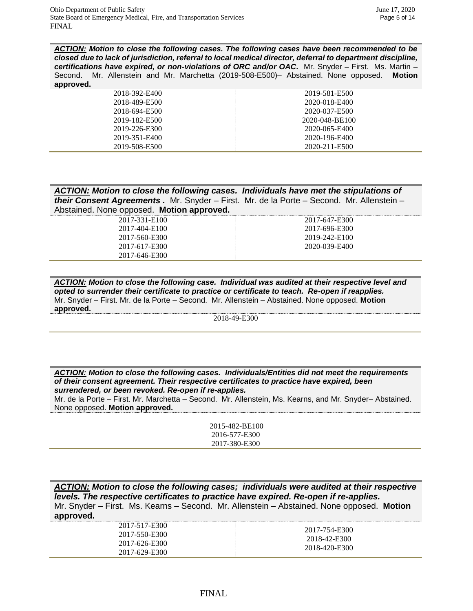*ACTION: Motion to close the following cases. The following cases have been recommended to be closed due to lack of jurisdiction, referral to local medical director, deferral to department discipline, certifications have expired, or non-violations of ORC and/or OAC.* Mr. Snyder – First. Ms. Martin – Second. Mr. Allenstein and Mr. Marchetta (2019-508-E500)– Abstained. None opposed. **Motion approved.**

| 2018-392-E400 | 2019-581-E500  |
|---------------|----------------|
| 2018-489-E500 | 2020-018-E400  |
| 2018-694-E500 | 2020-037-E500  |
| 2019-182-E500 | 2020-048-BE100 |
| 2019-226-E300 | 2020-065-E400  |
| 2019-351-E400 | 2020-196-E400  |
| 2019-508-E500 | 2020-211-E500  |

| ACTION: Motion to close the following cases. Individuals have met the stipulations of           |  |
|-------------------------------------------------------------------------------------------------|--|
| <b>their Consent Agreements.</b> Mr. Snyder – First. Mr. de la Porte – Second. Mr. Allenstein – |  |
| Abstained. None opposed. Motion approved.                                                       |  |

| 2017-331-E100 |  |
|---------------|--|
| 2017-404-E100 |  |
| 2017-560-E300 |  |
| 2017-617-E300 |  |
| 2017-646-E300 |  |

2017-647-E300 2017-696-E300 2019-242-E100 2020-039-E400

*ACTION: Motion to close the following case. Individual was audited at their respective level and opted to surrender their certificate to practice or certificate to teach. Re-open if reapplies.* Mr. Snyder – First. Mr. de la Porte – Second. Mr. Allenstein – Abstained. None opposed. **Motion approved.**

2018-49-E300

*ACTION: Motion to close the following cases. Individuals/Entities did not meet the requirements of their consent agreement. Their respective certificates to practice have expired, been surrendered, or been revoked. Re-open if re-applies.*

Mr. de la Porte – First. Mr. Marchetta – Second. Mr. Allenstein, Ms. Kearns, and Mr. Snyder– Abstained. None opposed. **Motion approved.**

| 2015-482-BE100 |
|----------------|
| 2016-577-E300  |
| 2017-380-E300  |

*ACTION: Motion to close the following cases; individuals were audited at their respective levels. The respective certificates to practice have expired. Re-open if re-applies.* Mr. Snyder – First. Ms. Kearns – Second. Mr. Allenstein – Abstained. None opposed. **Motion approved.**

| 2017-517-E300<br>2017-550-E300<br>2017-626-E300<br>2017-629-E300 | 2017-754-E300<br>2018-42-E300<br>2018-420-E300 |
|------------------------------------------------------------------|------------------------------------------------|
|------------------------------------------------------------------|------------------------------------------------|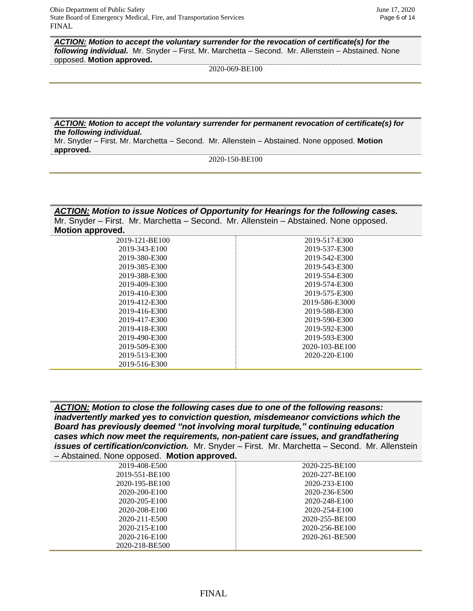*ACTION: Motion to accept the voluntary surrender for the revocation of certificate(s) for the following individual.* Mr. Snyder – First. Mr. Marchetta – Second. Mr. Allenstein – Abstained. None opposed. **Motion approved.**

2020-069-BE100

*ACTION: Motion to accept the voluntary surrender for permanent revocation of certificate(s) for the following individual.*

Mr. Snyder – First. Mr. Marchetta – Second. Mr. Allenstein – Abstained. None opposed. **Motion approved.**

2020-150-BE100

*ACTION: Motion to issue Notices of Opportunity for Hearings for the following cases.*  Mr. Snyder – First. Mr. Marchetta – Second. Mr. Allenstein – Abstained. None opposed. **Motion approved.**

| 2019-121-BE100 | 2019-517-E300  |
|----------------|----------------|
| 2019-343-E100  | 2019-537-E300  |
| 2019-380-E300  | 2019-542-E300  |
| 2019-385-E300  | 2019-543-E300  |
| 2019-388-E300  | 2019-554-E300  |
| 2019-409-E300  | 2019-574-E300  |
| 2019-410-E300  | 2019-575-E300  |
| 2019-412-E300  | 2019-586-E3000 |
| 2019-416-E300  | 2019-588-E300  |
| 2019-417-E300  | 2019-590-E300  |
| 2019-418-E300  | 2019-592-E300  |
| 2019-490-E300  | 2019-593-E300  |
| 2019-509-E300  | 2020-103-BE100 |
| 2019-513-E300  | 2020-220-E100  |
| 2019-516-E300  |                |
|                |                |

*ACTION: Motion to close the following cases due to one of the following reasons: inadvertently marked yes to conviction question, misdemeanor convictions which the Board has previously deemed "not involving moral turpitude," continuing education cases which now meet the requirements, non-patient care issues, and grandfathering issues of certification/conviction.* Mr. Snyder – First. Mr. Marchetta – Second. Mr. Allenstein – Abstained. None opposed. **Motion approved.**

| Abstance. None opposed. <b>Motion approved.</b> |                |
|-------------------------------------------------|----------------|
| 2019-408-E500                                   | 2020-225-BE100 |
| 2019-551-BE100                                  | 2020-227-BE100 |
| 2020-195-BE100                                  | 2020-233-E100  |
| 2020-200-E100                                   | 2020-236-E500  |
| 2020-205-E100                                   | 2020-248-E100  |
| 2020-208-E100                                   | 2020-254-E100  |
| 2020-211-E500                                   | 2020-255-BE100 |
| 2020-215-E100                                   | 2020-256-BE100 |
| 2020-216-E100                                   | 2020-261-BE500 |
| 2020-218-BE500                                  |                |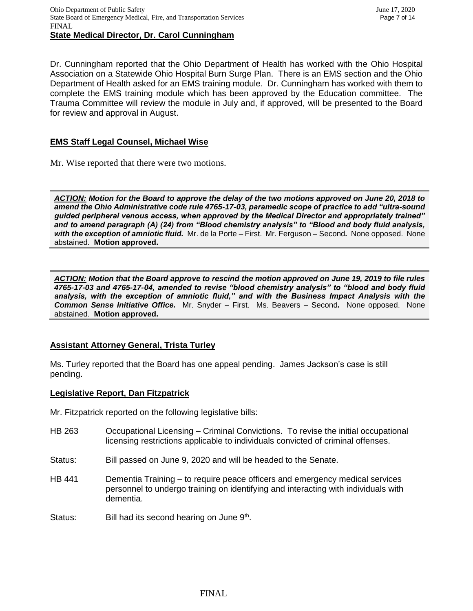Dr. Cunningham reported that the Ohio Department of Health has worked with the Ohio Hospital Association on a Statewide Ohio Hospital Burn Surge Plan. There is an EMS section and the Ohio Department of Health asked for an EMS training module. Dr. Cunningham has worked with them to complete the EMS training module which has been approved by the Education committee. The Trauma Committee will review the module in July and, if approved, will be presented to the Board for review and approval in August.

# **EMS Staff Legal Counsel, Michael Wise**

Mr. Wise reported that there were two motions.

*ACTION: Motion for the Board to approve the delay of the two motions approved on June 20, 2018 to amend the Ohio Administrative code rule 4765-17-03, paramedic scope of practice to add "ultra-sound guided peripheral venous access, when approved by the Medical Director and appropriately trained" and to amend paragraph (A) (24) from "Blood chemistry analysis" to "Blood and body fluid analysis, with the exception of amniotic fluid.* Mr. de la Porte – First. Mr. Ferguson – Second*.* None opposed. None abstained. **Motion approved.**

*ACTION: Motion that the Board approve to rescind the motion approved on June 19, 2019 to file rules 4765-17-03 and 4765-17-04, amended to revise "blood chemistry analysis" to "blood and body fluid analysis, with the exception of amniotic fluid," and with the Business Impact Analysis with the Common Sense Initiative Office.* Mr. Snyder – First. Ms. Beavers – Second*.* None opposed. None abstained. **Motion approved.**

# **Assistant Attorney General, Trista Turley**

Ms. Turley reported that the Board has one appeal pending. James Jackson's case is still pending.

### **Legislative Report, Dan Fitzpatrick**

Mr. Fitzpatrick reported on the following legislative bills:

- HB 263 Occupational Licensing Criminal Convictions. To revise the initial occupational licensing restrictions applicable to individuals convicted of criminal offenses.
- Status: Bill passed on June 9, 2020 and will be headed to the Senate.
- HB 441 Dementia Training to require peace officers and emergency medical services personnel to undergo training on identifying and interacting with individuals with dementia.
- Status: Bill had its second hearing on June 9<sup>th</sup>.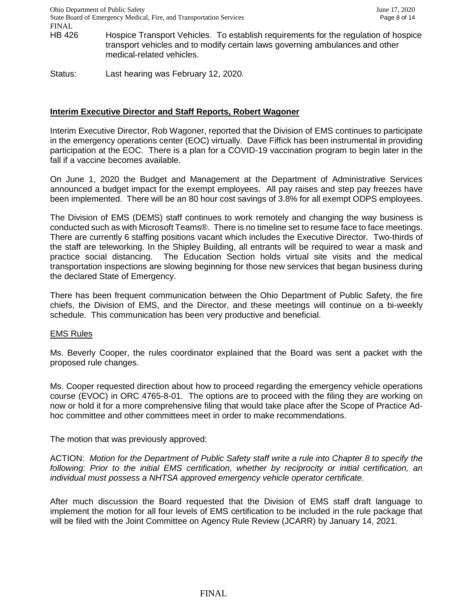- HB 426 Hospice Transport Vehicles. To establish requirements for the regulation of hospice transport vehicles and to modify certain laws governing ambulances and other medical-related vehicles.
- Status: Last hearing was February 12, 2020.

### **Interim Executive Director and Staff Reports, Robert Wagoner**

Interim Executive Director, Rob Wagoner, reported that the Division of EMS continues to participate in the emergency operations center (EOC) virtually. Dave Fiffick has been instrumental in providing participation at the EOC. There is a plan for a COVID-19 vaccination program to begin later in the fall if a vaccine becomes available.

On June 1, 2020 the Budget and Management at the Department of Administrative Services announced a budget impact for the exempt employees. All pay raises and step pay freezes have been implemented. There will be an 80 hour cost savings of 3.8% for all exempt ODPS employees.

The Division of EMS (DEMS) staff continues to work remotely and changing the way business is conducted such as with Microsoft Teams®. There is no timeline set to resume face to face meetings. There are currently 6 staffing positions vacant which includes the Executive Director. Two-thirds of the staff are teleworking. In the Shipley Building, all entrants will be required to wear a mask and practice social distancing. The Education Section holds virtual site visits and the medical transportation inspections are slowing beginning for those new services that began business during the declared State of Emergency.

There has been frequent communication between the Ohio Department of Public Safety, the fire chiefs, the Division of EMS, and the Director, and these meetings will continue on a bi-weekly schedule. This communication has been very productive and beneficial.

### EMS Rules

Ms. Beverly Cooper, the rules coordinator explained that the Board was sent a packet with the proposed rule changes.

Ms. Cooper requested direction about how to proceed regarding the emergency vehicle operations course (EVOC) in ORC 4765-8-01. The options are to proceed with the filing they are working on now or hold it for a more comprehensive filing that would take place after the Scope of Practice Adhoc committee and other committees meet in order to make recommendations.

The motion that was previously approved:

ACTION: *Motion for the Department of Public Safety staff write a rule into Chapter 8 to specify the following: Prior to the initial EMS certification, whether by reciprocity or initial certification, an individual must possess a NHTSA approved emergency vehicle operator certificate.*

After much discussion the Board requested that the Division of EMS staff draft language to implement the motion for all four levels of EMS certification to be included in the rule package that will be filed with the Joint Committee on Agency Rule Review (JCARR) by January 14, 2021.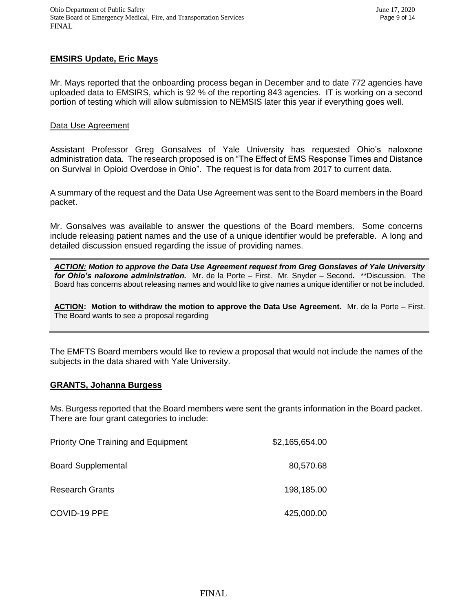# **EMSIRS Update, Eric Mays**

Mr. Mays reported that the onboarding process began in December and to date 772 agencies have uploaded data to EMSIRS, which is 92 % of the reporting 843 agencies. IT is working on a second portion of testing which will allow submission to NEMSIS later this year if everything goes well.

### Data Use Agreement

Assistant Professor Greg Gonsalves of Yale University has requested Ohio's naloxone administration data. The research proposed is on "The Effect of EMS Response Times and Distance on Survival in Opioid Overdose in Ohio". The request is for data from 2017 to current data.

A summary of the request and the Data Use Agreement was sent to the Board members in the Board packet.

Mr. Gonsalves was available to answer the questions of the Board members. Some concerns include releasing patient names and the use of a unique identifier would be preferable. A long and detailed discussion ensued regarding the issue of providing names.

*ACTION: Motion to approve the Data Use Agreement request from Greg Gonslaves of Yale University for Ohio's naloxone administration.* Mr. de la Porte – First. Mr. Snyder – Second*.* \*\*Discussion. The Board has concerns about releasing names and would like to give names a unique identifier or not be included.

**ACTION: Motion to withdraw the motion to approve the Data Use Agreement.** Mr. de la Porte – First. The Board wants to see a proposal regarding

The EMFTS Board members would like to review a proposal that would not include the names of the subjects in the data shared with Yale University.

### **GRANTS, Johanna Burgess**

Ms. Burgess reported that the Board members were sent the grants information in the Board packet. There are four grant categories to include:

| <b>Priority One Training and Equipment</b> | \$2,165,654.00 |
|--------------------------------------------|----------------|
| <b>Board Supplemental</b>                  | 80,570.68      |
| <b>Research Grants</b>                     | 198,185.00     |
| COVID-19 PPE                               | 425,000.00     |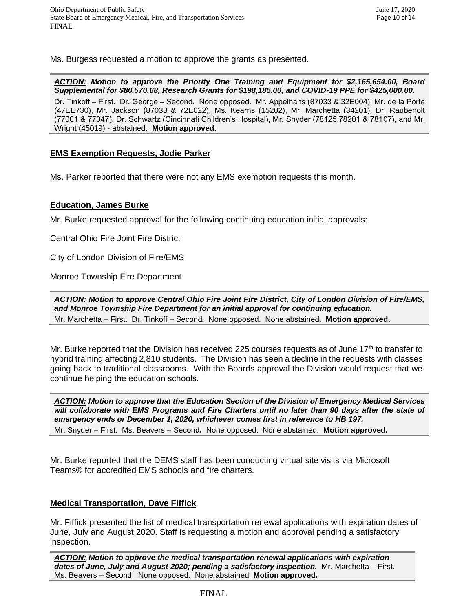Ms. Burgess requested a motion to approve the grants as presented.

*ACTION: Motion to approve the Priority One Training and Equipment for \$2,165,654.00, Board Supplemental for \$80,570.68, Research Grants for \$198,185.00, and COVID-19 PPE for \$425,000.00.*  Dr. Tinkoff – First. Dr. George – Second*.* None opposed. Mr. Appelhans (87033 & 32E004), Mr. de la Porte (47EE730), Mr. Jackson (87033 & 72E022), Ms. Kearns (15202), Mr. Marchetta (34201), Dr. Raubenolt (77001 & 77047), Dr. Schwartz (Cincinnati Children's Hospital), Mr. Snyder (78125,78201 & 78107), and Mr. Wright (45019) - abstained. **Motion approved.**

### **EMS Exemption Requests, Jodie Parker**

Ms. Parker reported that there were not any EMS exemption requests this month.

### **Education, James Burke**

Mr. Burke requested approval for the following continuing education initial approvals:

Central Ohio Fire Joint Fire District

City of London Division of Fire/EMS

Monroe Township Fire Department

*ACTION: Motion to approve Central Ohio Fire Joint Fire District, City of London Division of Fire/EMS, and Monroe Township Fire Department for an initial approval for continuing education.*  Mr. Marchetta – First. Dr. Tinkoff – Second*.* None opposed. None abstained. **Motion approved.**

Mr. Burke reported that the Division has received 225 courses requests as of June 17th to transfer to hybrid training affecting 2,810 students. The Division has seen a decline in the requests with classes going back to traditional classrooms. With the Boards approval the Division would request that we continue helping the education schools.

*ACTION: Motion to approve that the Education Section of the Division of Emergency Medical Services will collaborate with EMS Programs and Fire Charters until no later than 90 days after the state of emergency ends or December 1, 2020, whichever comes first in reference to HB 197.*

Mr. Snyder – First. Ms. Beavers – Second*.* None opposed. None abstained. **Motion approved.**

Mr. Burke reported that the DEMS staff has been conducting virtual site visits via Microsoft Teams® for accredited EMS schools and fire charters.

# **Medical Transportation, Dave Fiffick**

Mr. Fiffick presented the list of medical transportation renewal applications with expiration dates of June, July and August 2020. Staff is requesting a motion and approval pending a satisfactory inspection.

*ACTION: Motion to approve the medical transportation renewal applications with expiration dates of June, July and August 2020; pending a satisfactory inspection.* Mr. Marchetta – First. Ms. Beavers – Second. None opposed. None abstained. **Motion approved.**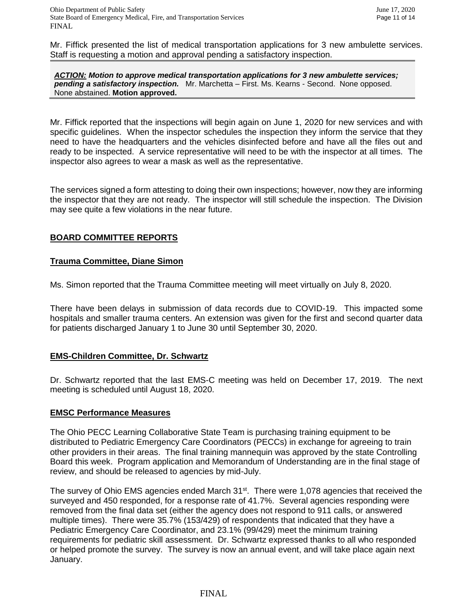Mr. Fiffick presented the list of medical transportation applications for 3 new ambulette services. Staff is requesting a motion and approval pending a satisfactory inspection.

*ACTION: Motion to approve medical transportation applications for 3 new ambulette services; pending a satisfactory inspection.* Mr. Marchetta – First. Ms. Kearns - Second. None opposed. None abstained. **Motion approved.**

Mr. Fiffick reported that the inspections will begin again on June 1, 2020 for new services and with specific guidelines. When the inspector schedules the inspection they inform the service that they need to have the headquarters and the vehicles disinfected before and have all the files out and ready to be inspected. A service representative will need to be with the inspector at all times. The inspector also agrees to wear a mask as well as the representative.

The services signed a form attesting to doing their own inspections; however, now they are informing the inspector that they are not ready. The inspector will still schedule the inspection. The Division may see quite a few violations in the near future.

# **BOARD COMMITTEE REPORTS**

# **Trauma Committee, Diane Simon**

Ms. Simon reported that the Trauma Committee meeting will meet virtually on July 8, 2020.

There have been delays in submission of data records due to COVID-19. This impacted some hospitals and smaller trauma centers. An extension was given for the first and second quarter data for patients discharged January 1 to June 30 until September 30, 2020.

# **EMS-Children Committee, Dr. Schwartz**

Dr. Schwartz reported that the last EMS-C meeting was held on December 17, 2019. The next meeting is scheduled until August 18, 2020.

# **EMSC Performance Measures**

The Ohio PECC Learning Collaborative State Team is purchasing training equipment to be distributed to Pediatric Emergency Care Coordinators (PECCs) in exchange for agreeing to train other providers in their areas. The final training mannequin was approved by the state Controlling Board this week. Program application and Memorandum of Understanding are in the final stage of review, and should be released to agencies by mid-July.

The survey of Ohio EMS agencies ended March 31<sup>st</sup>. There were 1,078 agencies that received the surveyed and 450 responded, for a response rate of 41.7%. Several agencies responding were removed from the final data set (either the agency does not respond to 911 calls, or answered multiple times). There were 35.7% (153/429) of respondents that indicated that they have a Pediatric Emergency Care Coordinator, and 23.1% (99/429) meet the minimum training requirements for pediatric skill assessment. Dr. Schwartz expressed thanks to all who responded or helped promote the survey. The survey is now an annual event, and will take place again next January.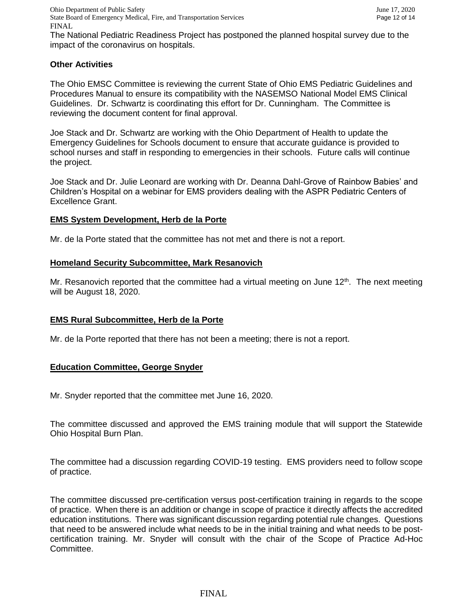Ohio Department of Public Safety June 17, 2020 State Board of Emergency Medical, Fire, and Transportation Services Page 12 of 14 FINAL

The National Pediatric Readiness Project has postponed the planned hospital survey due to the impact of the coronavirus on hospitals.

# **Other Activities**

The Ohio EMSC Committee is reviewing the current State of Ohio EMS Pediatric Guidelines and Procedures Manual to ensure its compatibility with the NASEMSO National Model EMS Clinical Guidelines. Dr. Schwartz is coordinating this effort for Dr. Cunningham. The Committee is reviewing the document content for final approval.

Joe Stack and Dr. Schwartz are working with the Ohio Department of Health to update the Emergency Guidelines for Schools document to ensure that accurate guidance is provided to school nurses and staff in responding to emergencies in their schools. Future calls will continue the project.

Joe Stack and Dr. Julie Leonard are working with Dr. Deanna Dahl-Grove of Rainbow Babies' and Children's Hospital on a webinar for EMS providers dealing with the ASPR Pediatric Centers of Excellence Grant.

### **EMS System Development, Herb de la Porte**

Mr. de la Porte stated that the committee has not met and there is not a report.

### **Homeland Security Subcommittee, Mark Resanovich**

Mr. Resanovich reported that the committee had a virtual meeting on June  $12<sup>th</sup>$ . The next meeting will be August 18, 2020.

# **EMS Rural Subcommittee, Herb de la Porte**

Mr. de la Porte reported that there has not been a meeting; there is not a report.

### **Education Committee, George Snyder**

Mr. Snyder reported that the committee met June 16, 2020.

The committee discussed and approved the EMS training module that will support the Statewide Ohio Hospital Burn Plan.

The committee had a discussion regarding COVID-19 testing. EMS providers need to follow scope of practice.

The committee discussed pre-certification versus post-certification training in regards to the scope of practice. When there is an addition or change in scope of practice it directly affects the accredited education institutions. There was significant discussion regarding potential rule changes. Questions that need to be answered include what needs to be in the initial training and what needs to be postcertification training. Mr. Snyder will consult with the chair of the Scope of Practice Ad-Hoc Committee.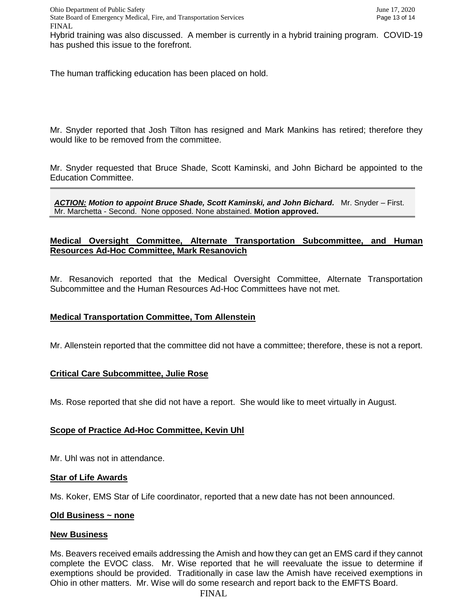Hybrid training was also discussed. A member is currently in a hybrid training program. COVID-19 has pushed this issue to the forefront.

The human trafficking education has been placed on hold.

Mr. Snyder reported that Josh Tilton has resigned and Mark Mankins has retired; therefore they would like to be removed from the committee.

Mr. Snyder requested that Bruce Shade, Scott Kaminski, and John Bichard be appointed to the Education Committee.

*ACTION: Motion to appoint Bruce Shade, Scott Kaminski, and John Bichard.* Mr. Snyder – First. Mr. Marchetta - Second. None opposed. None abstained. **Motion approved.**

### **Medical Oversight Committee, Alternate Transportation Subcommittee, and Human Resources Ad-Hoc Committee, Mark Resanovich**

Mr. Resanovich reported that the Medical Oversight Committee, Alternate Transportation Subcommittee and the Human Resources Ad-Hoc Committees have not met.

### **Medical Transportation Committee, Tom Allenstein**

Mr. Allenstein reported that the committee did not have a committee; therefore, these is not a report.

### **Critical Care Subcommittee, Julie Rose**

Ms. Rose reported that she did not have a report. She would like to meet virtually in August.

# **Scope of Practice Ad-Hoc Committee, Kevin Uhl**

Mr. Uhl was not in attendance.

### **Star of Life Awards**

Ms. Koker, EMS Star of Life coordinator, reported that a new date has not been announced.

#### **Old Business ~ none**

#### **New Business**

Ms. Beavers received emails addressing the Amish and how they can get an EMS card if they cannot complete the EVOC class. Mr. Wise reported that he will reevaluate the issue to determine if exemptions should be provided. Traditionally in case law the Amish have received exemptions in Ohio in other matters. Mr. Wise will do some research and report back to the EMFTS Board.